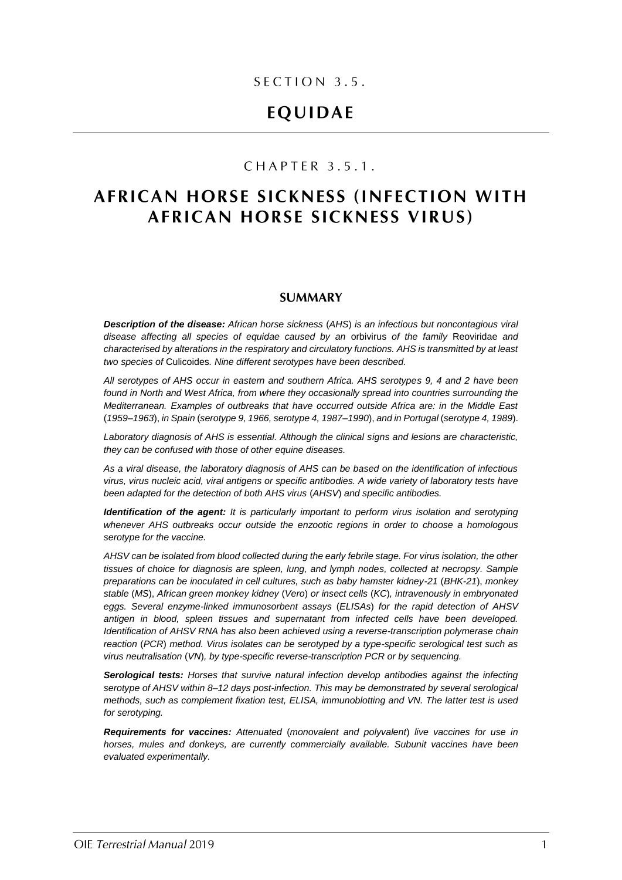### SECTION 3.5.

# **EQUIDAE**

## CHAPTER 3.5.1.

# **AFRICAN HORSE SICKNESS (INFECTION WITH AFRICAN HORSE SICKNESS VIRUS)**

### **SUMMARY**

*Description of the disease: African horse sickness* (*AHS*) *is an infectious but noncontagious viral disease affecting all species of equidae caused by an* orbivirus *of the family* Reoviridae *and characterised by alterations in the respiratory and circulatory functions. AHS is transmitted by at least two species of* Culicoides*. Nine different serotypes have been described.*

*All serotypes of AHS occur in eastern and southern Africa. AHS serotypes 9, 4 and 2 have been found in North and West Africa, from where they occasionally spread into countries surrounding the Mediterranean. Examples of outbreaks that have occurred outside Africa are: in the Middle East*  (*1959–1963*), *in Spain* (*serotype 9, 1966, serotype 4, 1987–1990*), *and in Portugal* (*serotype 4, 1989*).

*Laboratory diagnosis of AHS is essential. Although the clinical signs and lesions are characteristic, they can be confused with those of other equine diseases.*

*As a viral disease, the laboratory diagnosis of AHS can be based on the identification of infectious virus, virus nucleic acid, viral antigens or specific antibodies. A wide variety of laboratory tests have been adapted for the detection of both AHS virus* (*AHSV*) *and specific antibodies.*

*Identification of the agent: It is particularly important to perform virus isolation and serotyping whenever AHS outbreaks occur outside the enzootic regions in order to choose a homologous serotype for the vaccine.*

*AHSV can be isolated from blood collected during the early febrile stage. For virus isolation, the other tissues of choice for diagnosis are spleen, lung, and lymph nodes, collected at necropsy. Sample preparations can be inoculated in cell cultures, such as baby hamster kidney-21* (*BHK-21*), *monkey stable* (*MS*), *African green monkey kidney* (*Vero*) *or insect cells* (*KC*)*, intravenously in embryonated eggs. Several enzyme-linked immunosorbent assays* (*ELISAs*) *for the rapid detection of AHSV antigen in blood, spleen tissues and supernatant from infected cells have been developed. Identification of AHSV RNA has also been achieved using a reverse-transcription polymerase chain reaction* (*PCR*) *method. Virus isolates can be serotyped by a type-specific serological test such as virus neutralisation* (*VN*)*, by type-specific reverse-transcription PCR or by sequencing.*

*Serological tests: Horses that survive natural infection develop antibodies against the infecting serotype of AHSV within 8–12 days post-infection. This may be demonstrated by several serological methods, such as complement fixation test, ELISA, immunoblotting and VN. The latter test is used for serotyping.* 

*Requirements for vaccines: Attenuated* (*monovalent and polyvalent*) *live vaccines for use in horses, mules and donkeys, are currently commercially available. Subunit vaccines have been evaluated experimentally.*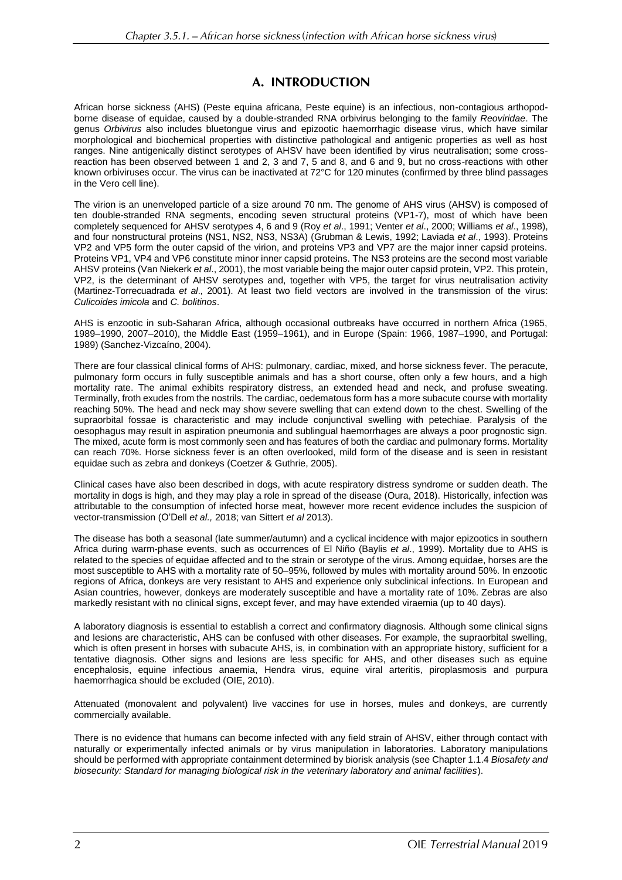## A. INTRODUCTION

African horse sickness (AHS) (Peste equina africana, Peste equine) is an infectious, non-contagious arthopodborne disease of equidae, caused by a double-stranded RNA orbivirus belonging to the family *Reoviridae*. The genus *Orbivirus* also includes bluetongue virus and epizootic haemorrhagic disease virus, which have similar morphological and biochemical properties with distinctive pathological and antigenic properties as well as host ranges. Nine antigenically distinct serotypes of AHSV have been identified by virus neutralisation; some crossreaction has been observed between 1 and 2, 3 and 7, 5 and 8, and 6 and 9, but no cross-reactions with other known orbiviruses occur. The virus can be inactivated at 72°C for 120 minutes (confirmed by three blind passages in the Vero cell line).

The virion is an unenveloped particle of a size around 70 nm. The genome of AHS virus (AHSV) is composed of ten double-stranded RNA segments, encoding seven structural proteins (VP1-7), most of which have been completely sequenced for AHSV serotypes 4, 6 and 9 (Roy *et al*., 1991; Venter *et al*., 2000; Williams *et al*., 1998), and four nonstructural proteins (NS1, NS2, NS3, NS3A) (Grubman & Lewis, 1992; Laviada *et al*., 1993). Proteins VP2 and VP5 form the outer capsid of the virion, and proteins VP3 and VP7 are the major inner capsid proteins. Proteins VP1, VP4 and VP6 constitute minor inner capsid proteins. The NS3 proteins are the second most variable AHSV proteins (Van Niekerk *et al*., 2001), the most variable being the major outer capsid protein, VP2. This protein, VP2, is the determinant of AHSV serotypes and, together with VP5, the target for virus neutralisation activity (Martinez-Torrecuadrada *et al*., 2001). At least two field vectors are involved in the transmission of the virus: *Culicoides imicola* and *C. bolitinos*.

AHS is enzootic in sub-Saharan Africa, although occasional outbreaks have occurred in northern Africa (1965, 1989–1990, 2007–2010), the Middle East (1959–1961), and in Europe (Spain: 1966, 1987–1990, and Portugal: 1989) (Sanchez-Vizcaíno, 2004).

There are four classical clinical forms of AHS: pulmonary, cardiac, mixed, and horse sickness fever. The peracute, pulmonary form occurs in fully susceptible animals and has a short course, often only a few hours, and a high mortality rate. The animal exhibits respiratory distress, an extended head and neck, and profuse sweating. Terminally, froth exudes from the nostrils. The cardiac, oedematous form has a more subacute course with mortality reaching 50%. The head and neck may show severe swelling that can extend down to the chest. Swelling of the supraorbital fossae is characteristic and may include conjunctival swelling with petechiae. Paralysis of the oesophagus may result in aspiration pneumonia and sublingual haemorrhages are always a poor prognostic sign. The mixed, acute form is most commonly seen and has features of both the cardiac and pulmonary forms. Mortality can reach 70%. Horse sickness fever is an often overlooked, mild form of the disease and is seen in resistant equidae such as zebra and donkeys (Coetzer & Guthrie, 2005).

Clinical cases have also been described in dogs, with acute respiratory distress syndrome or sudden death. The mortality in dogs is high, and they may play a role in spread of the disease (Oura, 2018). Historically, infection was attributable to the consumption of infected horse meat, however more recent evidence includes the suspicion of vector-transmission (O'Dell *et al.,* 2018; van Sittert *et al* 2013).

The disease has both a seasonal (late summer/autumn) and a cyclical incidence with major epizootics in southern Africa during warm-phase events, such as occurrences of El Niño (Baylis *et al*., 1999). Mortality due to AHS is related to the species of equidae affected and to the strain or serotype of the virus. Among equidae, horses are the most susceptible to AHS with a mortality rate of 50–95%, followed by mules with mortality around 50%. In enzootic regions of Africa, donkeys are very resistant to AHS and experience only subclinical infections. In European and Asian countries, however, donkeys are moderately susceptible and have a mortality rate of 10%. Zebras are also markedly resistant with no clinical signs, except fever, and may have extended viraemia (up to 40 days).

A laboratory diagnosis is essential to establish a correct and confirmatory diagnosis. Although some clinical signs and lesions are characteristic, AHS can be confused with other diseases. For example, the supraorbital swelling, which is often present in horses with subacute AHS, is, in combination with an appropriate history, sufficient for a tentative diagnosis. Other signs and lesions are less specific for AHS, and other diseases such as equine encephalosis, equine infectious anaemia, Hendra virus, equine viral arteritis, piroplasmosis and purpura haemorrhagica should be excluded (OIE, 2010).

Attenuated (monovalent and polyvalent) live vaccines for use in horses, mules and donkeys, are currently commercially available.

There is no evidence that humans can become infected with any field strain of AHSV, either through contact with naturally or experimentally infected animals or by virus manipulation in laboratories. Laboratory manipulations should be performed with appropriate containment determined by biorisk analysis (see Chapter 1.1.4 *Biosafety and biosecurity: Standard for managing biological risk in the veterinary laboratory and animal facilities*).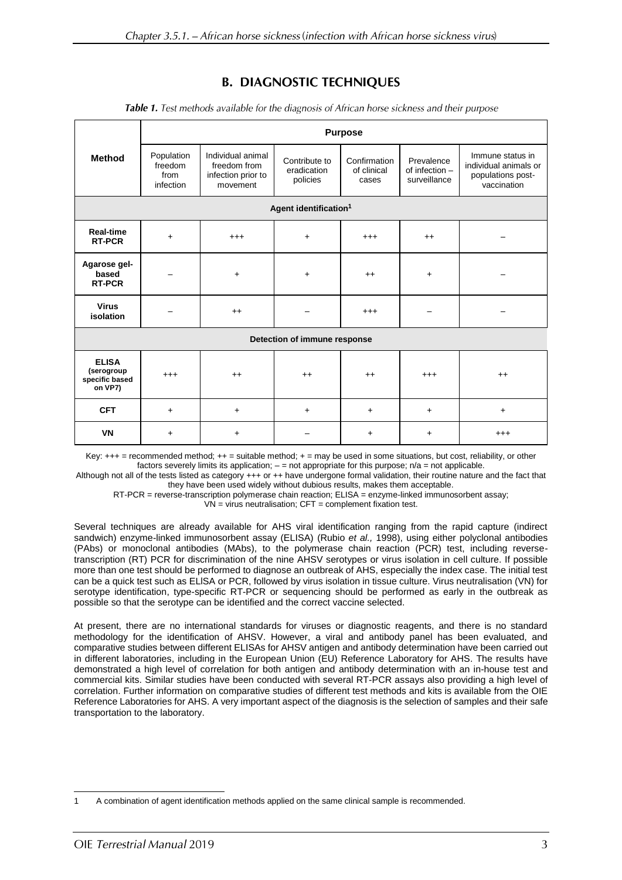## **B. DIAGNOSTIC TECHNIQUES**

|                                                         | <b>Purpose</b>                             |                                                                     |                                          |                                      |                                              |                                                                               |
|---------------------------------------------------------|--------------------------------------------|---------------------------------------------------------------------|------------------------------------------|--------------------------------------|----------------------------------------------|-------------------------------------------------------------------------------|
| <b>Method</b>                                           | Population<br>freedom<br>from<br>infection | Individual animal<br>freedom from<br>infection prior to<br>movement | Contribute to<br>eradication<br>policies | Confirmation<br>of clinical<br>cases | Prevalence<br>of infection -<br>surveillance | Immune status in<br>individual animals or<br>populations post-<br>vaccination |
| Agent identification <sup>1</sup>                       |                                            |                                                                     |                                          |                                      |                                              |                                                                               |
| <b>Real-time</b><br><b>RT-PCR</b>                       | $\ddot{}$                                  | $^{+++}$                                                            | $+$                                      | $^{+++}$                             | $++$                                         |                                                                               |
| Agarose gel-<br>based<br><b>RT-PCR</b>                  |                                            | $+$                                                                 | $\ddot{}$                                | $^{++}$                              | $\ddot{}$                                    |                                                                               |
| <b>Virus</b><br>isolation                               |                                            | $++$                                                                |                                          | $^{+++}$                             |                                              |                                                                               |
| Detection of immune response                            |                                            |                                                                     |                                          |                                      |                                              |                                                                               |
| <b>ELISA</b><br>(serogroup<br>specific based<br>on VP7) | $^{+++}$                                   | $++$                                                                | $++$                                     | $++$                                 | $^{+++}$                                     | $^{++}$                                                                       |
| <b>CFT</b>                                              | $\ddot{}$                                  | $\ddot{}$                                                           | $\ddot{}$                                | $+$                                  | $\ddot{}$                                    | $+$                                                                           |
| <b>VN</b>                                               | $\ddot{}$                                  | $\ddot{}$                                                           |                                          | $\ddot{}$                            | +                                            | $^{+++}$                                                                      |

Table 1. Test methods available for the diagnosis of African horse sickness and their purpose

Key: +++ = recommended method; ++ = suitable method; + = may be used in some situations, but cost, reliability, or other factors severely limits its application;  $-$  = not appropriate for this purpose;  $n/a$  = not applicable.

Although not all of the tests listed as category +++ or ++ have undergone formal validation, their routine nature and the fact that they have been used widely without dubious results, makes them acceptable.

RT-PCR = reverse-transcription polymerase chain reaction; ELISA = enzyme-linked immunosorbent assay;

 $VN = virus$  neutralisation;  $CFT = complement$  fixation test.

Several techniques are already available for AHS viral identification ranging from the rapid capture (indirect sandwich) enzyme-linked immunosorbent assay (ELISA) (Rubio *et al.,* 1998), using either polyclonal antibodies (PAbs) or monoclonal antibodies (MAbs), to the polymerase chain reaction (PCR) test, including reversetranscription (RT) PCR for discrimination of the nine AHSV serotypes or virus isolation in cell culture. If possible more than one test should be performed to diagnose an outbreak of AHS, especially the index case. The initial test can be a quick test such as ELlSA or PCR, followed by virus isolation in tissue culture. Virus neutralisation (VN) for serotype identification, type-specific RT-PCR or sequencing should be performed as early in the outbreak as possible so that the serotype can be identified and the correct vaccine selected.

At present, there are no international standards for viruses or diagnostic reagents, and there is no standard methodology for the identification of AHSV. However, a viral and antibody panel has been evaluated, and comparative studies between different ELISAs for AHSV antigen and antibody determination have been carried out in different laboratories, including in the European Union (EU) Reference Laboratory for AHS. The results have demonstrated a high level of correlation for both antigen and antibody determination with an in-house test and commercial kits. Similar studies have been conducted with several RT-PCR assays also providing a high level of correlation. Further information on comparative studies of different test methods and kits is available from the OIE Reference Laboratories for AHS. A very important aspect of the diagnosis is the selection of samples and their safe transportation to the laboratory.

 $\overline{\phantom{a}}$ 1 A combination of agent identification methods applied on the same clinical sample is recommended.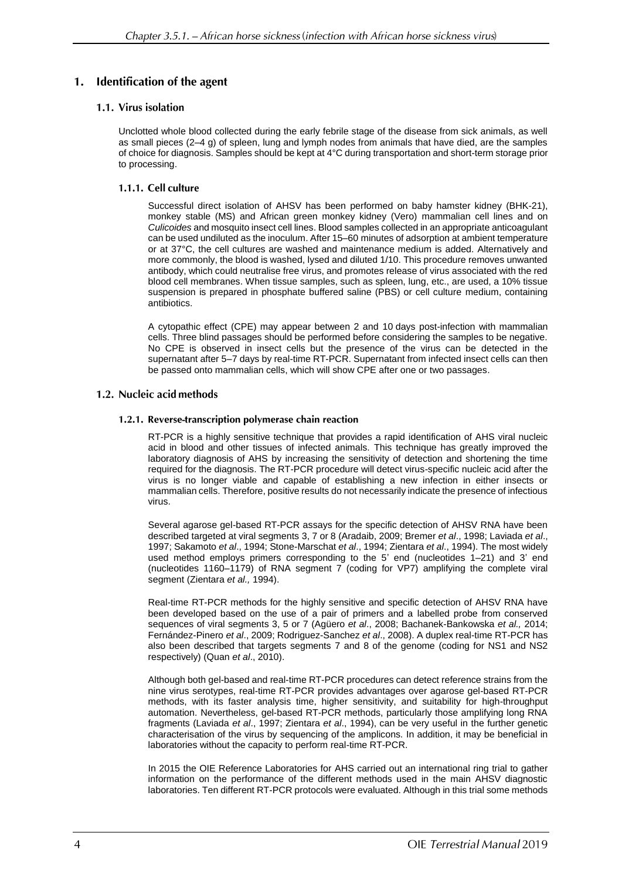#### **Identification of the agent**  $1.$

### 1.1. Virus isolation

Unclotted whole blood collected during the early febrile stage of the disease from sick animals, as well as small pieces (2–4 g) of spleen, lung and lymph nodes from animals that have died, are the samples of choice for diagnosis. Samples should be kept at 4°C during transportation and short-term storage prior to processing.

### 1.1.1. Cell culture

Successful direct isolation of AHSV has been performed on baby hamster kidney (BHK-21), monkey stable (MS) and African green monkey kidney (Vero) mammalian cell lines and on *Culicoides* and mosquito insect cell lines. Blood samples collected in an appropriate anticoagulant can be used undiluted as the inoculum. After 15–60 minutes of adsorption at ambient temperature or at 37°C, the cell cultures are washed and maintenance medium is added. Alternatively and more commonly, the blood is washed, lysed and diluted 1/10. This procedure removes unwanted antibody, which could neutralise free virus, and promotes release of virus associated with the red blood cell membranes. When tissue samples, such as spleen, lung, etc., are used, a 10% tissue suspension is prepared in phosphate buffered saline (PBS) or cell culture medium, containing antibiotics.

A cytopathic effect (CPE) may appear between 2 and 10 days post-infection with mammalian cells. Three blind passages should be performed before considering the samples to be negative. No CPE is observed in insect cells but the presence of the virus can be detected in the supernatant after 5–7 days by real-time RT-PCR. Supernatant from infected insect cells can then be passed onto mammalian cells, which will show CPE after one or two passages.

### 1.2. Nucleic acid methods

### 1.2.1. Reverse-transcription polymerase chain reaction

RT-PCR is a highly sensitive technique that provides a rapid identification of AHS viral nucleic acid in blood and other tissues of infected animals. This technique has greatly improved the laboratory diagnosis of AHS by increasing the sensitivity of detection and shortening the time required for the diagnosis. The RT-PCR procedure will detect virus-specific nucleic acid after the virus is no longer viable and capable of establishing a new infection in either insects or mammalian cells. Therefore, positive results do not necessarily indicate the presence of infectious virus.

Several agarose gel-based RT-PCR assays for the specific detection of AHSV RNA have been described targeted at viral segments 3, 7 or 8 (Aradaib, 2009; Bremer *et al*., 1998; Laviada *et al*., 1997; Sakamoto *et al*., 1994; Stone-Marschat *et al*., 1994; Zientara *et al*., 1994). The most widely used method employs primers corresponding to the 5' end (nucleotides 1–21) and 3' end (nucleotides 1160–1179) of RNA segment 7 (coding for VP7) amplifying the complete viral segment (Zientara *et al.,* 1994).

Real-time RT-PCR methods for the highly sensitive and specific detection of AHSV RNA have been developed based on the use of a pair of primers and a labelled probe from conserved sequences of viral segments 3, 5 or 7 (Agüero *et al*., 2008; Bachanek-Bankowska *et al.,* 2014; Fernández-Pinero *et al*., 2009; Rodriguez-Sanchez *et al*., 2008). A duplex real-time RT-PCR has also been described that targets segments 7 and 8 of the genome (coding for NS1 and NS2 respectively) (Quan *et al*., 2010).

Although both gel-based and real-time RT-PCR procedures can detect reference strains from the nine virus serotypes, real-time RT-PCR provides advantages over agarose gel-based RT-PCR methods, with its faster analysis time, higher sensitivity, and suitability for high-throughput automation. Nevertheless, gel-based RT-PCR methods, particularly those amplifying long RNA fragments (Laviada *et al*., 1997; Zientara *et al*., 1994), can be very useful in the further genetic characterisation of the virus by sequencing of the amplicons. In addition, it may be beneficial in laboratories without the capacity to perform real-time RT-PCR.

In 2015 the OIE Reference Laboratories for AHS carried out an international ring trial to gather information on the performance of the different methods used in the main AHSV diagnostic laboratories. Ten different RT-PCR protocols were evaluated. Although in this trial some methods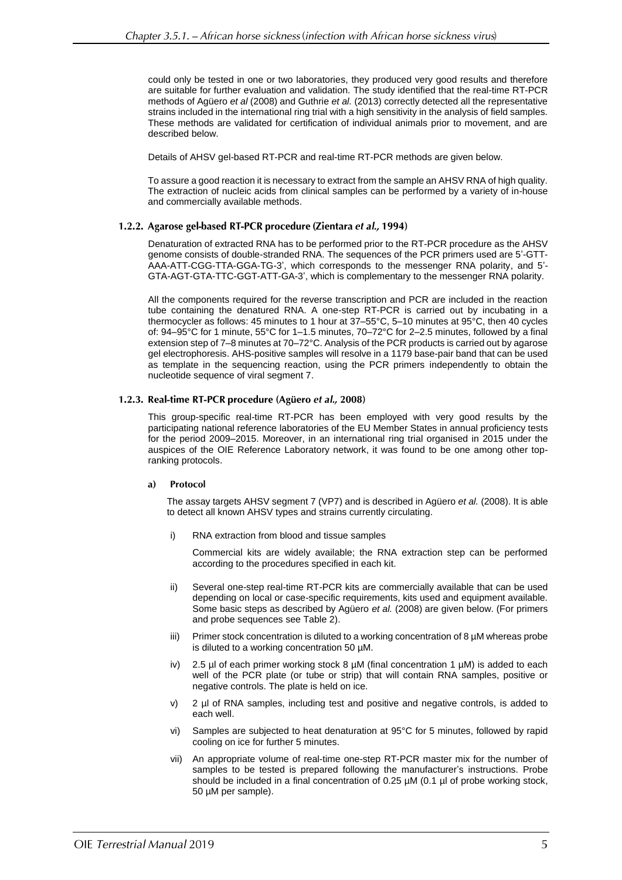could only be tested in one or two laboratories, they produced very good results and therefore are suitable for further evaluation and validation. The study identified that the real-time RT-PCR methods of Agüero *et al* (2008) and Guthrie *et al.* (2013) correctly detected all the representative strains included in the international ring trial with a high sensitivity in the analysis of field samples. These methods are validated for certification of individual animals prior to movement, and are described below.

Details of AHSV gel-based RT-PCR and real-time RT-PCR methods are given below.

To assure a good reaction it is necessary to extract from the sample an AHSV RNA of high quality. The extraction of nucleic acids from clinical samples can be performed by a variety of in-house and commercially available methods.

### 1.2.2. Agarose gel-based RT-PCR procedure (Zientara et al., 1994)

Denaturation of extracted RNA has to be performed prior to the RT-PCR procedure as the AHSV genome consists of double-stranded RNA. The sequences of the PCR primers used are 5'-GTT-AAA-ATT-CGG-TTA-GGA-TG-3', which corresponds to the messenger RNA polarity, and 5'- GTA-AGT-GTA-TTC-GGT-ATT-GA-3', which is complementary to the messenger RNA polarity.

All the components required for the reverse transcription and PCR are included in the reaction tube containing the denatured RNA. A one-step RT-PCR is carried out by incubating in a thermocycler as follows: 45 minutes to 1 hour at 37–55°C, 5–10 minutes at 95°C, then 40 cycles of: 94–95°C for 1 minute, 55°C for 1–1.5 minutes, 70–72°C for 2–2.5 minutes, followed by a final extension step of 7–8 minutes at 70–72°C. Analysis of the PCR products is carried out by agarose gel electrophoresis. AHS-positive samples will resolve in a 1179 base-pair band that can be used as template in the sequencing reaction, using the PCR primers independently to obtain the nucleotide sequence of viral segment 7.

#### 1.2.3. Real-time RT-PCR procedure (Agüero et al., 2008)

This group-specific real-time RT-PCR has been employed with very good results by the participating national reference laboratories of the EU Member States in annual proficiency tests for the period 2009–2015. Moreover, in an international ring trial organised in 2015 under the auspices of the OIE Reference Laboratory network, it was found to be one among other topranking protocols.

#### Protocol a)

The assay targets AHSV segment 7 (VP7) and is described in Agüero *et al.* (2008). It is able to detect all known AHSV types and strains currently circulating.

i) RNA extraction from blood and tissue samples

Commercial kits are widely available; the RNA extraction step can be performed according to the procedures specified in each kit.

- ii) Several one-step real-time RT-PCR kits are commercially available that can be used depending on local or case-specific requirements, kits used and equipment available. Some basic steps as described by Agüero *et al.* (2008) are given below. (For primers and probe sequences see Table 2).
- iii) Primer stock concentration is diluted to a working concentration of 8 µM whereas probe is diluted to a working concentration 50 µM.
- iv) 2.5 µl of each primer working stock 8  $\mu$ M (final concentration 1  $\mu$ M) is added to each well of the PCR plate (or tube or strip) that will contain RNA samples, positive or negative controls. The plate is held on ice.
- v) 2 µl of RNA samples, including test and positive and negative controls, is added to each well.
- vi) Samples are subjected to heat denaturation at 95°C for 5 minutes, followed by rapid cooling on ice for further 5 minutes.
- vii) An appropriate volume of real-time one-step RT-PCR master mix for the number of samples to be tested is prepared following the manufacturer's instructions. Probe should be included in a final concentration of 0.25  $\mu$ M (0.1  $\mu$ l of probe working stock, 50 µM per sample).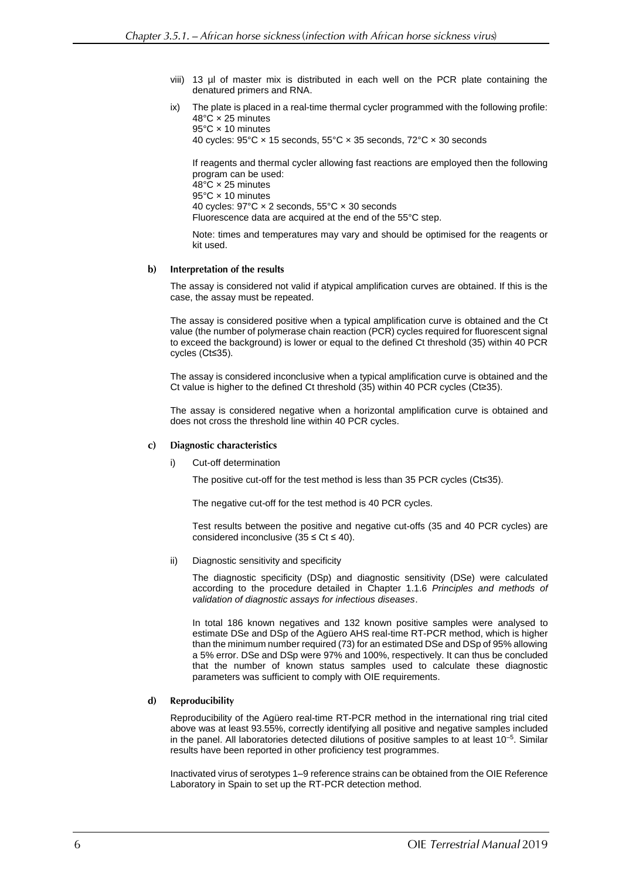- viii) 13 µl of master mix is distributed in each well on the PCR plate containing the denatured primers and RNA.
- ix) The plate is placed in a real-time thermal cycler programmed with the following profile: 48°C × 25 minutes 95°C × 10 minutes

40 cycles: 95°C × 15 seconds, 55°C × 35 seconds, 72°C × 30 seconds

If reagents and thermal cycler allowing fast reactions are employed then the following program can be used: 48°C × 25 minutes 95°C × 10 minutes 40 cycles: 97°C × 2 seconds, 55°C × 30 seconds Fluorescence data are acquired at the end of the 55°C step.

Note: times and temperatures may vary and should be optimised for the reagents or kit used.

#### $\mathbf{b}$ Interpretation of the results

The assay is considered not valid if atypical amplification curves are obtained. If this is the case, the assay must be repeated.

The assay is considered positive when a typical amplification curve is obtained and the Ct value (the number of polymerase chain reaction (PCR) cycles required for fluorescent signal to exceed the background) is lower or equal to the defined Ct threshold (35) within 40 PCR cycles (Ct≤35).

The assay is considered inconclusive when a typical amplification curve is obtained and the Ct value is higher to the defined Ct threshold (35) within 40 PCR cycles (Ct≥35).

The assay is considered negative when a horizontal amplification curve is obtained and does not cross the threshold line within 40 PCR cycles.

#### $\mathbf{c}$ **Diagnostic characteristics**

#### i) Cut-off determination

The positive cut-off for the test method is less than 35 PCR cycles (Ct≤35).

The negative cut-off for the test method is 40 PCR cycles.

Test results between the positive and negative cut-offs (35 and 40 PCR cycles) are considered inconclusive  $(35 \leq Ct \leq 40)$ .

ii) Diagnostic sensitivity and specificity

The diagnostic specificity (DSp) and diagnostic sensitivity (DSe) were calculated according to the procedure detailed in Chapter 1.1.6 *Principles and methods of validation of diagnostic assays for infectious diseases*.

In total 186 known negatives and 132 known positive samples were analysed to estimate DSe and DSp of the Agüero AHS real-time RT-PCR method, which is higher than the minimum number required (73) for an estimated DSe and DSp of 95% allowing a 5% error. DSe and DSp were 97% and 100%, respectively. It can thus be concluded that the number of known status samples used to calculate these diagnostic parameters was sufficient to comply with OIE requirements.

#### $\mathbf{d}$ **Reproducibility**

Reproducibility of the Agüero real-time RT-PCR method in the international ring trial cited above was at least 93.55%, correctly identifying all positive and negative samples included in the panel. All laboratories detected dilutions of positive samples to at least  $10^{-5}$ . Similar results have been reported in other proficiency test programmes.

Inactivated virus of serotypes 1–9 reference strains can be obtained from the OIE Reference Laboratory in Spain to set up the RT-PCR detection method.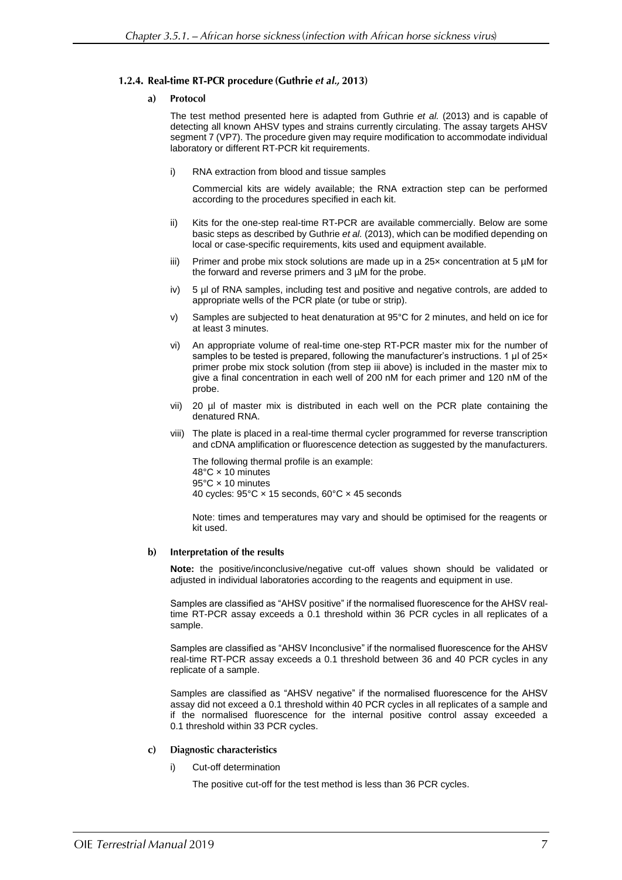### 1.2.4. Real-time RT-PCR procedure (Guthrie et al., 2013)

#### a) Protocol

The test method presented here is adapted from Guthrie *et al.* (2013) and is capable of detecting all known AHSV types and strains currently circulating. The assay targets AHSV segment 7 (VP7). The procedure given may require modification to accommodate individual laboratory or different RT-PCR kit requirements.

i) RNA extraction from blood and tissue samples

Commercial kits are widely available; the RNA extraction step can be performed according to the procedures specified in each kit.

- ii) Kits for the one-step real-time RT-PCR are available commercially. Below are some basic steps as described by Guthrie *et al.* (2013), which can be modified depending on local or case-specific requirements, kits used and equipment available.
- iii) Primer and probe mix stock solutions are made up in a 25× concentration at 5 µM for the forward and reverse primers and 3 µM for the probe.
- iv) 5 µl of RNA samples, including test and positive and negative controls, are added to appropriate wells of the PCR plate (or tube or strip).
- v) Samples are subjected to heat denaturation at 95°C for 2 minutes, and held on ice for at least 3 minutes.
- vi) An appropriate volume of real-time one-step RT-PCR master mix for the number of samples to be tested is prepared, following the manufacturer's instructions. 1 µl of 25x primer probe mix stock solution (from step iii above) is included in the master mix to give a final concentration in each well of 200 nM for each primer and 120 nM of the probe.
- vii) 20 µl of master mix is distributed in each well on the PCR plate containing the denatured RNA.
- viii) The plate is placed in a real-time thermal cycler programmed for reverse transcription and cDNA amplification or fluorescence detection as suggested by the manufacturers.

The following thermal profile is an example: 48°C × 10 minutes 95°C × 10 minutes 40 cycles: 95°C × 15 seconds, 60°C × 45 seconds

Note: times and temperatures may vary and should be optimised for the reagents or kit used.

#### $\mathbf{b}$ Interpretation of the results

**Note:** the positive/inconclusive/negative cut-off values shown should be validated or adjusted in individual laboratories according to the reagents and equipment in use.

Samples are classified as "AHSV positive" if the normalised fluorescence for the AHSV realtime RT-PCR assay exceeds a 0.1 threshold within 36 PCR cycles in all replicates of a sample.

Samples are classified as "AHSV Inconclusive" if the normalised fluorescence for the AHSV real-time RT-PCR assay exceeds a 0.1 threshold between 36 and 40 PCR cycles in any replicate of a sample.

Samples are classified as "AHSV negative" if the normalised fluorescence for the AHSV assay did not exceed a 0.1 threshold within 40 PCR cycles in all replicates of a sample and if the normalised fluorescence for the internal positive control assay exceeded a 0.1 threshold within 33 PCR cycles.

#### **Diagnostic characteristics**  $\mathbf{c}$

i) Cut-off determination

The positive cut-off for the test method is less than 36 PCR cycles.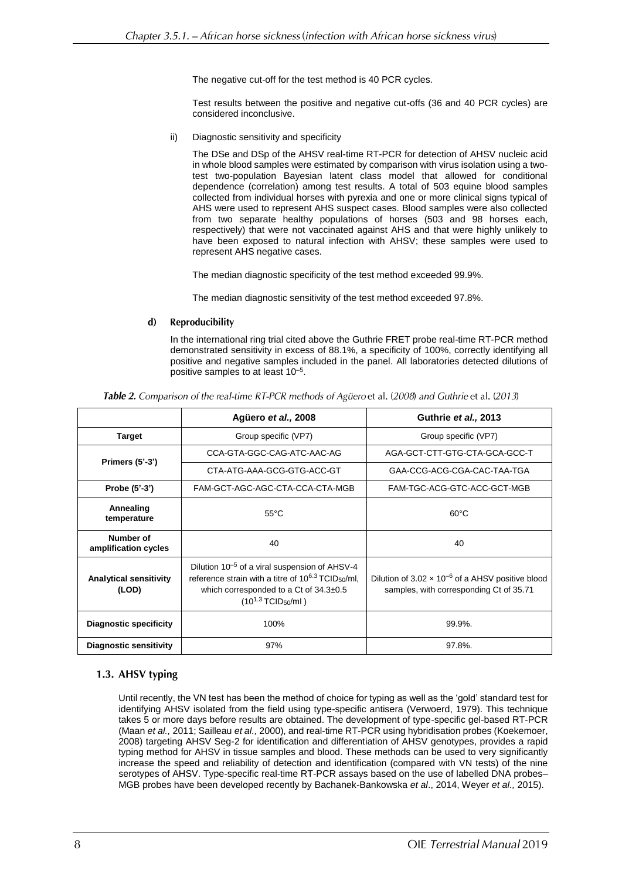The negative cut-off for the test method is 40 PCR cycles.

Test results between the positive and negative cut-offs (36 and 40 PCR cycles) are considered inconclusive.

ii) Diagnostic sensitivity and specificity

The DSe and DSp of the AHSV real-time RT-PCR for detection of AHSV nucleic acid in whole blood samples were estimated by comparison with virus isolation using a twotest two-population Bayesian latent class model that allowed for conditional dependence (correlation) among test results. A total of 503 equine blood samples collected from individual horses with pyrexia and one or more clinical signs typical of AHS were used to represent AHS suspect cases. Blood samples were also collected from two separate healthy populations of horses (503 and 98 horses each, respectively) that were not vaccinated against AHS and that were highly unlikely to have been exposed to natural infection with AHSV; these samples were used to represent AHS negative cases.

The median diagnostic specificity of the test method exceeded 99.9%.

The median diagnostic sensitivity of the test method exceeded 97.8%.

#### $\mathbf{d}$ **Reproducibility**

In the international ring trial cited above the Guthrie FRET probe real-time RT-PCR method demonstrated sensitivity in excess of 88.1%, a specificity of 100%, correctly identifying all positive and negative samples included in the panel. All laboratories detected dilutions of positive samples to at least 10–5 .

|                                        | Agüero et al., 2008                                                                                                                                                                                                         | Guthrie et al., 2013                                                                                  |  |  |
|----------------------------------------|-----------------------------------------------------------------------------------------------------------------------------------------------------------------------------------------------------------------------------|-------------------------------------------------------------------------------------------------------|--|--|
| <b>Target</b>                          | Group specific (VP7)                                                                                                                                                                                                        | Group specific (VP7)                                                                                  |  |  |
|                                        | CCA-GTA-GGC-CAG-ATC-AAC-AG                                                                                                                                                                                                  | AGA-GCT-CTT-GTG-CTA-GCA-GCC-T                                                                         |  |  |
| Primers $(5'-3')$                      | CTA-ATG-AAA-GCG-GTG-ACC-GT                                                                                                                                                                                                  | GAA-CCG-ACG-CGA-CAC-TAA-TGA                                                                           |  |  |
| Probe (5'-3')                          | FAM-GCT-AGC-AGC-CTA-CCA-CTA-MGB                                                                                                                                                                                             | FAM-TGC-ACG-GTC-ACC-GCT-MGB                                                                           |  |  |
| Annealing<br>temperature               | $55^{\circ}$ C                                                                                                                                                                                                              | $60^{\circ}$ C                                                                                        |  |  |
| Number of<br>amplification cycles      | 40                                                                                                                                                                                                                          | 40                                                                                                    |  |  |
| <b>Analytical sensitivity</b><br>(LOD) | Dilution 10 <sup>-5</sup> of a viral suspension of AHSV-4<br>reference strain with a titre of $10^{6.3}$ TCID <sub>50</sub> /ml,<br>which corresponded to a Ct of $34.3\pm0.5$<br>$(10^{1.3} \text{TCID}_{50} / \text{ml})$ | Dilution of $3.02 \times 10^{-6}$ of a AHSV positive blood<br>samples, with corresponding Ct of 35.71 |  |  |
| <b>Diagnostic specificity</b>          | 100%                                                                                                                                                                                                                        | 99.9%.                                                                                                |  |  |
| <b>Diagnostic sensitivity</b>          | 97%                                                                                                                                                                                                                         | 97.8%.                                                                                                |  |  |

Table 2. Comparison of the real-time RT-PCR methods of Agüero et al. (2008) and Guthrie et al. (2013)

### 1.3. AHSV typing

Until recently, the VN test has been the method of choice for typing as well as the 'gold' standard test for identifying AHSV isolated from the field using type-specific antisera (Verwoerd, 1979). This technique takes 5 or more days before results are obtained. The development of type-specific gel-based RT-PCR (Maan *et al.,* 2011; Sailleau *et al.,* 2000), and real-time RT-PCR using hybridisation probes (Koekemoer, 2008) targeting AHSV Seg-2 for identification and differentiation of AHSV genotypes, provides a rapid typing method for AHSV in tissue samples and blood. These methods can be used to very significantly increase the speed and reliability of detection and identification (compared with VN tests) of the nine serotypes of AHSV. Type-specific real-time RT-PCR assays based on the use of labelled DNA probes– MGB probes have been developed recently by Bachanek-Bankowska *et al*., 2014, Weyer *et al.,* 2015).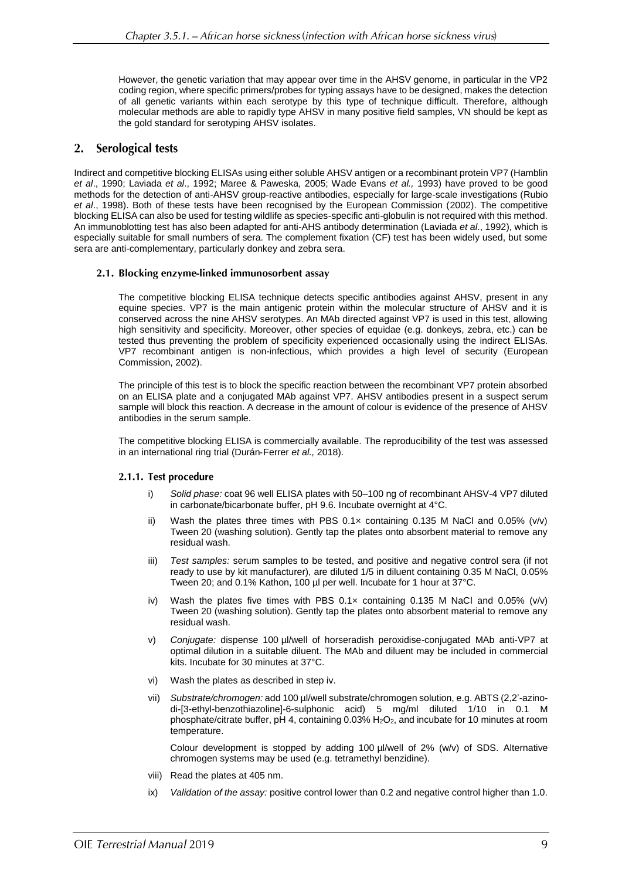However, the genetic variation that may appear over time in the AHSV genome, in particular in the VP2 coding region, where specific primers/probes for typing assays have to be designed, makes the detection of all genetic variants within each serotype by this type of technique difficult. Therefore, although molecular methods are able to rapidly type AHSV in many positive field samples, VN should be kept as the gold standard for serotyping AHSV isolates.

#### **Serological tests**  $2.$

Indirect and competitive blocking ELISAs using either soluble AHSV antigen or a recombinant protein VP7 (Hamblin *et al*., 1990; Laviada *et al*., 1992; Maree & Paweska, 2005; Wade Evans *et al.,* 1993) have proved to be good methods for the detection of anti-AHSV group-reactive antibodies, especially for large-scale investigations (Rubio *et al*., 1998). Both of these tests have been recognised by the European Commission (2002). The competitive blocking ELISA can also be used for testing wildlife as species-specific anti-globulin is not required with this method. An immunoblotting test has also been adapted for anti-AHS antibody determination (Laviada *et al*., 1992), which is especially suitable for small numbers of sera. The complement fixation (CF) test has been widely used, but some sera are anti-complementary, particularly donkey and zebra sera.

### 2.1. Blocking enzyme-linked immunosorbent assay

The competitive blocking ELISA technique detects specific antibodies against AHSV, present in any equine species. VP7 is the main antigenic protein within the molecular structure of AHSV and it is conserved across the nine AHSV serotypes. An MAb directed against VP7 is used in this test, allowing high sensitivity and specificity. Moreover, other species of equidae (e.g. donkeys, zebra, etc.) can be tested thus preventing the problem of specificity experienced occasionally using the indirect ELISAs. VP7 recombinant antigen is non-infectious, which provides a high level of security (European Commission, 2002).

The principle of this test is to block the specific reaction between the recombinant VP7 protein absorbed on an ELISA plate and a conjugated MAb against VP7. AHSV antibodies present in a suspect serum sample will block this reaction. A decrease in the amount of colour is evidence of the presence of AHSV antibodies in the serum sample.

The competitive blocking ELISA is commercially available. The reproducibility of the test was assessed in an international ring trial (Durán‐Ferrer *et al.,* 2018).

#### 2.1.1. Test procedure

- i) *Solid phase:* coat 96 well ELISA plates with 50–100 ng of recombinant AHSV-4 VP7 diluted in carbonate/bicarbonate buffer, pH 9.6. Incubate overnight at 4°C.
- ii) Wash the plates three times with PBS  $0.1x$  containing 0.135 M NaCl and 0.05% (v/v) Tween 20 (washing solution). Gently tap the plates onto absorbent material to remove any residual wash.
- iii) *Test samples:* serum samples to be tested, and positive and negative control sera (if not ready to use by kit manufacturer), are diluted 1/5 in diluent containing 0.35 M NaCl, 0.05% Tween 20; and 0.1% Kathon, 100 µl per well. Incubate for 1 hour at 37°C.
- iv) Wash the plates five times with PBS  $0.1x$  containing  $0.135$  M NaCl and  $0.05\%$  (v/v) Tween 20 (washing solution). Gently tap the plates onto absorbent material to remove any residual wash.
- v) *Conjugate:* dispense 100 µl/well of horseradish peroxidise-conjugated MAb anti-VP7 at optimal dilution in a suitable diluent. The MAb and diluent may be included in commercial kits. Incubate for 30 minutes at 37°C.
- vi) Wash the plates as described in step iv.
- vii) *Substrate/chromogen:* add 100 µl/well substrate/chromogen solution, e.g. ABTS (2,2'-azinodi-[3-ethyl-benzothiazoline]-6-sulphonic acid) 5 mg/ml diluted 1/10 in 0.1 M phosphate/citrate buffer, pH 4, containing 0.03% H<sub>2</sub>O<sub>2</sub>, and incubate for 10 minutes at room temperature.

Colour development is stopped by adding 100 µl/well of 2% (w/v) of SDS. Alternative chromogen systems may be used (e.g. tetramethyl benzidine).

- viii) Read the plates at 405 nm.
- ix) *Validation of the assay:* positive control lower than 0.2 and negative control higher than 1.0.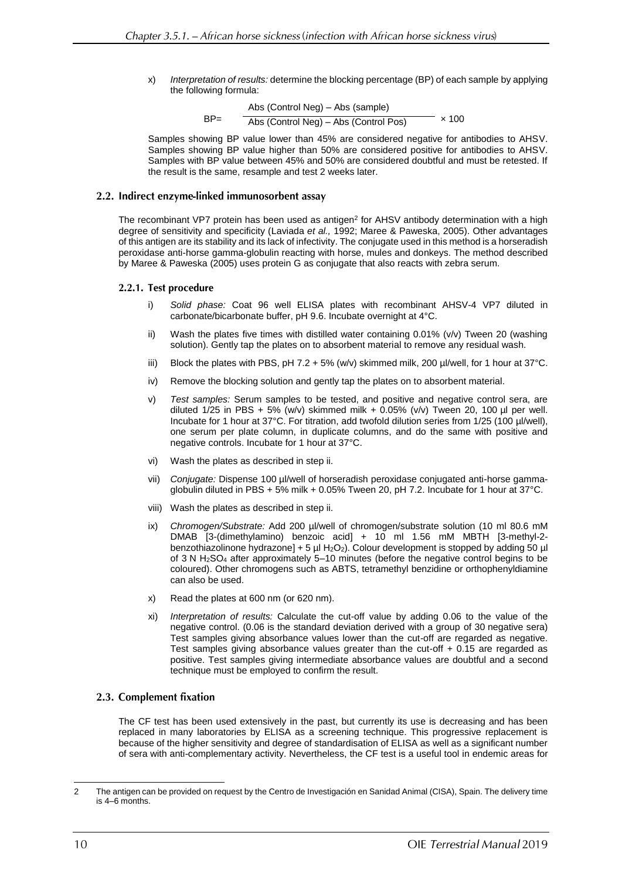x) *Interpretation of results:* determine the blocking percentage (BP) of each sample by applying the following formula:

$$
BP = \frac{Abs (Control Neg) - Abs (sample)}{Abs (Control Neg) - Abs (Control Pos)} \times 100
$$

Samples showing BP value lower than 45% are considered negative for antibodies to AHSV. Samples showing BP value higher than 50% are considered positive for antibodies to AHSV. Samples with BP value between 45% and 50% are considered doubtful and must be retested. If the result is the same, resample and test 2 weeks later.

### 2.2. Indirect enzyme-linked immunosorbent assay

The recombinant VP7 protein has been used as antigen<sup>2</sup> for AHSV antibody determination with a high degree of sensitivity and specificity (Laviada *et al.,* 1992; Maree & Paweska, 2005). Other advantages of this antigen are its stability and its lack of infectivity. The conjugate used in this method is a horseradish peroxidase anti-horse gamma-globulin reacting with horse, mules and donkeys. The method described by Maree & Paweska (2005) uses protein G as conjugate that also reacts with zebra serum.

### 2.2.1. Test procedure

- i) *Solid phase:* Coat 96 well ELISA plates with recombinant AHSV-4 VP7 diluted in carbonate/bicarbonate buffer, pH 9.6. Incubate overnight at 4°C.
- ii) Wash the plates five times with distilled water containing 0.01% (v/v) Tween 20 (washing solution). Gently tap the plates on to absorbent material to remove any residual wash.
- iii) Block the plates with PBS, pH 7.2 + 5% (w/v) skimmed milk, 200  $\mu$ l/well, for 1 hour at 37°C.
- iv) Remove the blocking solution and gently tap the plates on to absorbent material.
- v) *Test samples:* Serum samples to be tested, and positive and negative control sera, are diluted  $1/25$  in PBS + 5% (w/v) skimmed milk + 0.05% (v/v) Tween 20, 100  $\mu$ l per well. Incubate for 1 hour at 37°C. For titration, add twofold dilution series from 1/25 (100 µl/well), one serum per plate column, in duplicate columns, and do the same with positive and negative controls. Incubate for 1 hour at 37°C.
- vi) Wash the plates as described in step ii.
- vii) *Conjugate:* Dispense 100 µl/well of horseradish peroxidase conjugated anti-horse gammaglobulin diluted in PBS + 5% milk + 0.05% Tween 20, pH 7.2. Incubate for 1 hour at 37°C.
- viii) Wash the plates as described in step ii.
- ix) *Chromogen/Substrate:* Add 200 µl/well of chromogen/substrate solution (10 ml 80.6 mM DMAB [3-(dimethylamino) benzoic acid] + 10 ml 1.56 mM MBTH [3-methyl-2 benzothiazolinone hydrazone] + 5 µl H<sub>2</sub>O<sub>2</sub>). Colour development is stopped by adding 50 µl of 3 N H2SO<sup>4</sup> after approximately 5–10 minutes (before the negative control begins to be coloured). Other chromogens such as ABTS, tetramethyl benzidine or orthophenyldiamine can also be used.
- x) Read the plates at 600 nm (or 620 nm).
- xi) *Interpretation of results:* Calculate the cut-off value by adding 0.06 to the value of the negative control. (0.06 is the standard deviation derived with a group of 30 negative sera) Test samples giving absorbance values lower than the cut-off are regarded as negative. Test samples giving absorbance values greater than the cut-off + 0.15 are regarded as positive. Test samples giving intermediate absorbance values are doubtful and a second technique must be employed to confirm the result.

#### 2.3. Complement fixation

The CF test has been used extensively in the past, but currently its use is decreasing and has been replaced in many laboratories by ELISA as a screening technique. This progressive replacement is because of the higher sensitivity and degree of standardisation of ELISA as well as a significant number of sera with anti-complementary activity. Nevertheless, the CF test is a useful tool in endemic areas for

 $\overline{a}$ 

<sup>2</sup> The antigen can be provided on request by the Centro de Investigación en Sanidad Animal (CISA), Spain. The delivery time is 4–6 months.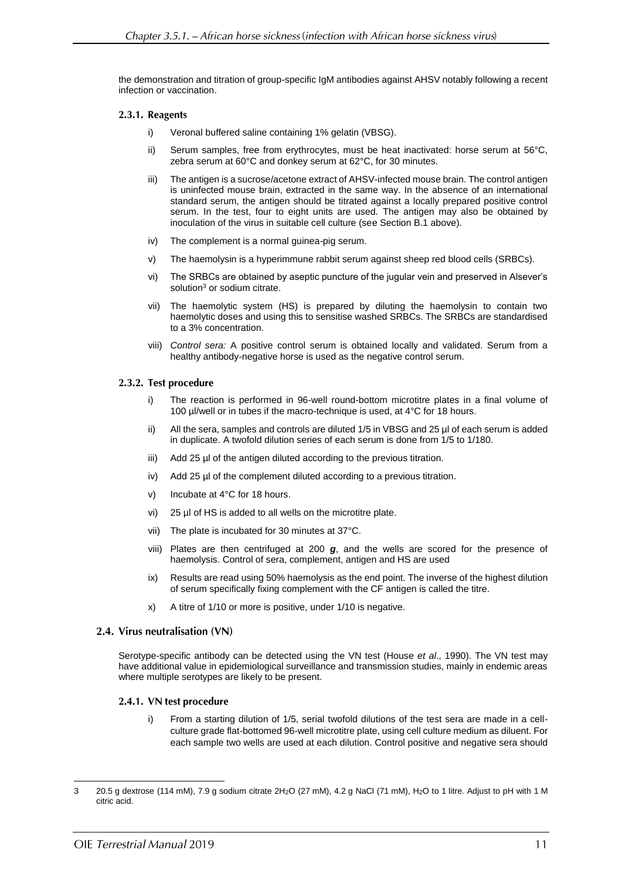the demonstration and titration of group-specific IgM antibodies against AHSV notably following a recent infection or vaccination.

### 2.3.1. Reagents

- i) Veronal buffered saline containing 1% gelatin (VBSG).
- ii) Serum samples, free from erythrocytes, must be heat inactivated: horse serum at 56°C, zebra serum at 60°C and donkey serum at 62°C, for 30 minutes.
- iii) The antigen is a sucrose/acetone extract of AHSV-infected mouse brain. The control antigen is uninfected mouse brain, extracted in the same way. In the absence of an international standard serum, the antigen should be titrated against a locally prepared positive control serum. In the test, four to eight units are used. The antigen may also be obtained by inoculation of the virus in suitable cell culture (see Section B.1 above).
- iv) The complement is a normal guinea-pig serum.
- v) The haemolysin is a hyperimmune rabbit serum against sheep red blood cells (SRBCs).
- vi) The SRBCs are obtained by aseptic puncture of the jugular vein and preserved in Alsever's solution<sup>3</sup> or sodium citrate.
- vii) The haemolytic system (HS) is prepared by diluting the haemolysin to contain two haemolytic doses and using this to sensitise washed SRBCs. The SRBCs are standardised to a 3% concentration.
- viii) *Control sera:* A positive control serum is obtained locally and validated. Serum from a healthy antibody-negative horse is used as the negative control serum.

### 2.3.2. Test procedure

- i) The reaction is performed in 96-well round-bottom microtitre plates in a final volume of 100 µl/well or in tubes if the macro-technique is used, at 4°C for 18 hours.
- ii) All the sera, samples and controls are diluted 1/5 in VBSG and 25 µl of each serum is added in duplicate. A twofold dilution series of each serum is done from 1/5 to 1/180.
- iii) Add 25 µl of the antigen diluted according to the previous titration.
- iv) Add 25 µl of the complement diluted according to a previous titration.
- v) Incubate at 4°C for 18 hours.
- vi) 25 µl of HS is added to all wells on the microtitre plate.
- vii) The plate is incubated for 30 minutes at 37°C.
- viii) Plates are then centrifuged at 200 *g*, and the wells are scored for the presence of haemolysis. Control of sera, complement, antigen and HS are used
- ix) Results are read using 50% haemolysis as the end point. The inverse of the highest dilution of serum specifically fixing complement with the CF antigen is called the titre.
- x) A titre of 1/10 or more is positive, under 1/10 is negative.

#### 2.4. Virus neutralisation (VN)

Serotype-specific antibody can be detected using the VN test (House *et al*., 1990). The VN test may have additional value in epidemiological surveillance and transmission studies, mainly in endemic areas where multiple serotypes are likely to be present.

#### 2.4.1. VN test procedure

i) From a starting dilution of 1/5, serial twofold dilutions of the test sera are made in a cellculture grade flat-bottomed 96-well microtitre plate, using cell culture medium as diluent. For each sample two wells are used at each dilution. Control positive and negative sera should

 $\overline{a}$ 

<sup>3</sup> 20.5 g dextrose (114 mM), 7.9 g sodium citrate 2H2O (27 mM), 4.2 g NaCl (71 mM), H2O to 1 litre. Adjust to pH with 1 M citric acid.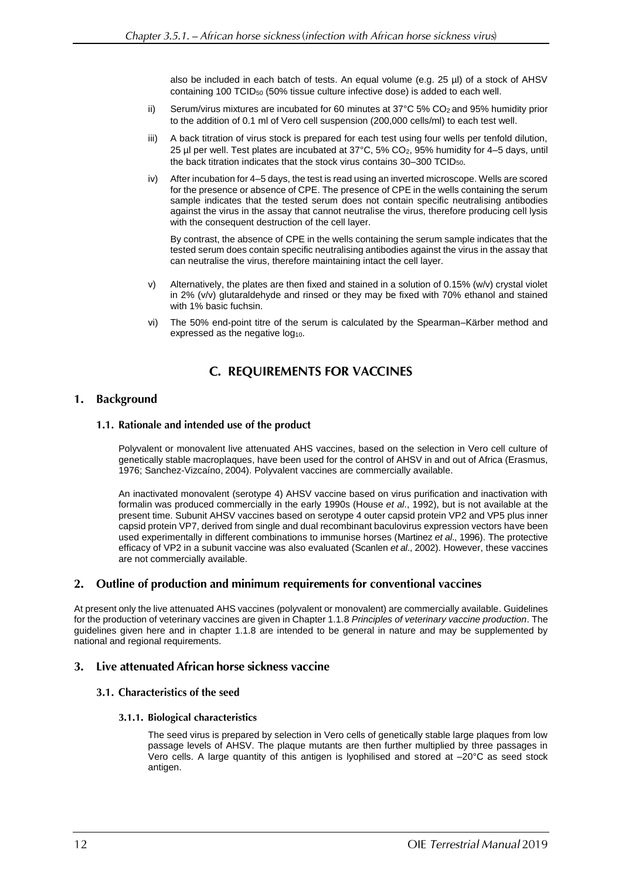also be included in each batch of tests. An equal volume (e.g. 25 µl) of a stock of AHSV containing 100 TCID<sup>50</sup> (50% tissue culture infective dose) is added to each well.

- ii) Serum/virus mixtures are incubated for 60 minutes at  $37^{\circ}$ C 5% CO<sub>2</sub> and 95% humidity prior to the addition of 0.1 ml of Vero cell suspension (200,000 cells/ml) to each test well.
- iii) A back titration of virus stock is prepared for each test using four wells per tenfold dilution, 25 µl per well. Test plates are incubated at 37°C, 5% CO2, 95% humidity for 4–5 days, until the back titration indicates that the stock virus contains 30–300 TCID50.
- iv) After incubation for 4–5 days, the test is read using an inverted microscope. Wells are scored for the presence or absence of CPE. The presence of CPE in the wells containing the serum sample indicates that the tested serum does not contain specific neutralising antibodies against the virus in the assay that cannot neutralise the virus, therefore producing cell lysis with the consequent destruction of the cell layer.

By contrast, the absence of CPE in the wells containing the serum sample indicates that the tested serum does contain specific neutralising antibodies against the virus in the assay that can neutralise the virus, therefore maintaining intact the cell layer.

- v) Alternatively, the plates are then fixed and stained in a solution of 0.15% (w/v) crystal violet in 2% (v/v) glutaraldehyde and rinsed or they may be fixed with 70% ethanol and stained with 1% basic fuchsin.
- vi) The 50% end-point titre of the serum is calculated by the Spearman–Kärber method and expressed as the negative log<sub>10</sub>.

## **C. REQUIREMENTS FOR VACCINES**

#### **Background**  $1.$

### 1.1. Rationale and intended use of the product

Polyvalent or monovalent live attenuated AHS vaccines, based on the selection in Vero cell culture of genetically stable macroplaques, have been used for the control of AHSV in and out of Africa (Erasmus, 1976; Sanchez-Vizcaíno, 2004). Polyvalent vaccines are commercially available.

An inactivated monovalent (serotype 4) AHSV vaccine based on virus purification and inactivation with formalin was produced commercially in the early 1990s (House *et al*., 1992), but is not available at the present time. Subunit AHSV vaccines based on serotype 4 outer capsid protein VP2 and VP5 plus inner capsid protein VP7, derived from single and dual recombinant baculovirus expression vectors have been used experimentally in different combinations to immunise horses (Martinez *et al*., 1996). The protective efficacy of VP2 in a subunit vaccine was also evaluated (Scanlen *et al*., 2002). However, these vaccines are not commercially available.

#### $2.$ Outline of production and minimum requirements for conventional vaccines

At present only the live attenuated AHS vaccines (polyvalent or monovalent) are commercially available. Guidelines for the production of veterinary vaccines are given in Chapter 1.1.8 *Principles of veterinary vaccine production*. The guidelines given here and in chapter 1.1.8 are intended to be general in nature and may be supplemented by national and regional requirements.

#### Live attenuated African horse sickness vaccine 3.

### 3.1. Characteristics of the seed

#### 3.1.1. Biological characteristics

The seed virus is prepared by selection in Vero cells of genetically stable large plaques from low passage levels of AHSV. The plaque mutants are then further multiplied by three passages in Vero cells. A large quantity of this antigen is lyophilised and stored at –20°C as seed stock antigen.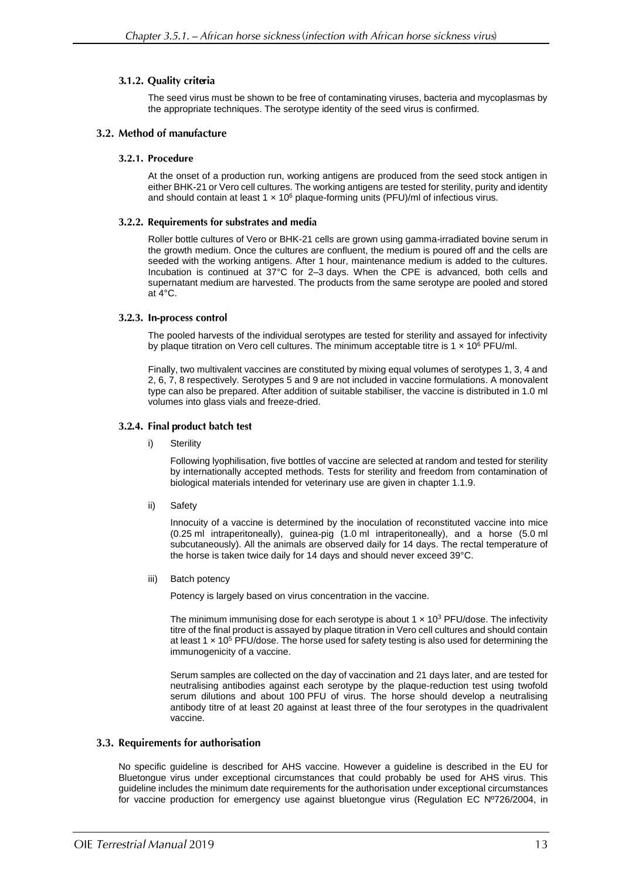#### 3.1.2. Quality criteria

The seed virus must be shown to be free of contaminating viruses, bacteria and mycoplasmas by the appropriate techniques. The serotype identity of the seed virus is confirmed.

### 3.2. Method of manufacture

#### 3.2.1. Procedure

At the onset of a production run, working antigens are produced from the seed stock antigen in either BHK-21 or Vero cell cultures. The working antigens are tested for sterility, purity and identity and should contain at least 1  $\times$  10<sup>6</sup> plaque-forming units (PFU)/ml of infectious virus.

#### 3.2.2. Requirements for substrates and media

Roller bottle cultures of Vero or BHK-21 cells are grown using gamma-irradiated bovine serum in the growth medium. Once the cultures are confluent, the medium is poured off and the cells are seeded with the working antigens. After 1 hour, maintenance medium is added to the cultures. Incubation is continued at 37°C for 2–3 days. When the CPE is advanced, both cells and supernatant medium are harvested. The products from the same serotype are pooled and stored at 4°C.

#### 3.2.3. In-process control

The pooled harvests of the individual serotypes are tested for sterility and assayed for infectivity by plaque titration on Vero cell cultures. The minimum acceptable titre is  $1 \times 10^6$  PFU/ml.

Finally, two multivalent vaccines are constituted by mixing equal volumes of serotypes 1, 3, 4 and 2, 6, 7, 8 respectively. Serotypes 5 and 9 are not included in vaccine formulations. A monovalent type can also be prepared. After addition of suitable stabiliser, the vaccine is distributed in 1.0 ml volumes into glass vials and freeze-dried.

#### 3.2.4. Final product batch test

i) Sterility

Following lyophilisation, five bottles of vaccine are selected at random and tested for sterility by internationally accepted methods. Tests for sterility and freedom from contamination of biological materials intended for veterinary use are given in chapter 1.1.9.

ii) Safety

Innocuity of a vaccine is determined by the inoculation of reconstituted vaccine into mice (0.25 ml intraperitoneally), guinea-pig (1.0 ml intraperitoneally), and a horse (5.0 ml subcutaneously). All the animals are observed daily for 14 days. The rectal temperature of the horse is taken twice daily for 14 days and should never exceed 39°C.

iii) Batch potency

Potency is largely based on virus concentration in the vaccine.

The minimum immunising dose for each serotype is about  $1 \times 10^3$  PFU/dose. The infectivity titre of the final product is assayed by plaque titration in Vero cell cultures and should contain at least 1  $\times$  10<sup>5</sup> PFU/dose. The horse used for safety testing is also used for determining the immunogenicity of a vaccine.

Serum samples are collected on the day of vaccination and 21 days later, and are tested for neutralising antibodies against each serotype by the plaque-reduction test using twofold serum dilutions and about 100 PFU of virus. The horse should develop a neutralising antibody titre of at least 20 against at least three of the four serotypes in the quadrivalent vaccine.

#### 3.3. Requirements for authorisation

No specific guideline is described for AHS vaccine. However a guideline is described in the EU for Bluetongue virus under exceptional circumstances that could probably be used for AHS virus. This guideline includes the minimum date requirements for the authorisation under exceptional circumstances for vaccine production for emergency use against bluetongue virus (Regulation EC Nº726/2004, in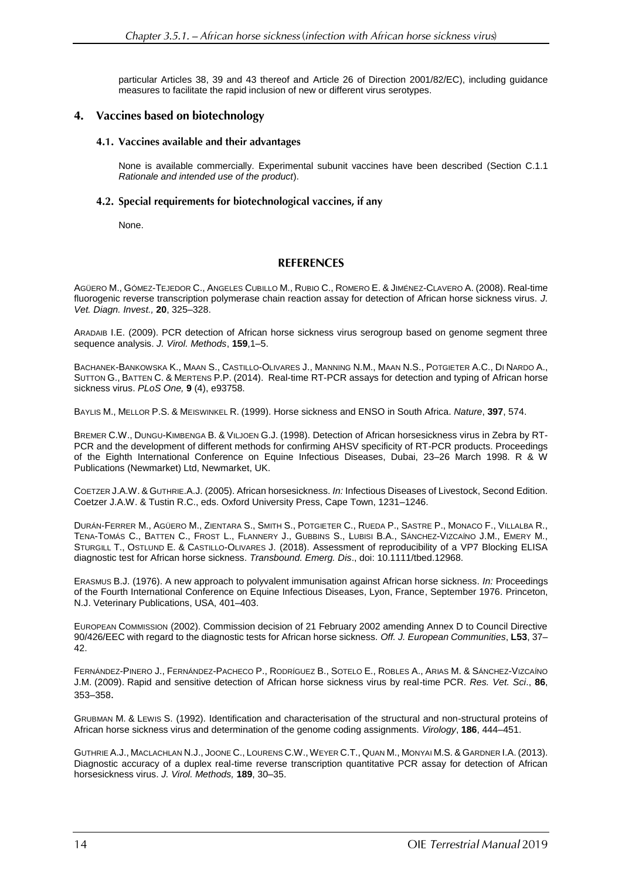particular Articles 38, 39 and 43 thereof and Article 26 of Direction 2001/82/EC), including guidance measures to facilitate the rapid inclusion of new or different virus serotypes.

### 4. Vaccines based on biotechnology

#### 4.1. Vaccines available and their advantages

None is available commercially. Experimental subunit vaccines have been described (Section C.1.1 *Rationale and intended use of the product*).

#### 4.2. Special requirements for biotechnological vaccines, if any

None.

### **REFERENCES**

AGÜERO M., GÓMEZ-TEJEDOR C., ANGELES CUBILLO M., RUBIO C., ROMERO E. & JIMÉNEZ-CLAVERO A. (2008). Real-time fluorogenic reverse transcription polymerase chain reaction assay for detection of African horse sickness virus. *J. Vet. Diagn. Invest.,* **20**, 325–328.

ARADAIB I.E. (2009). PCR detection of African horse sickness virus serogroup based on genome segment three sequence analysis. *J. Virol. Methods*, **159**,1–5.

BACHANEK-BANKOWSKA K., MAAN S., CASTILLO-OLIVARES J., MANNING N.M., MAAN N.S., POTGIETER A.C., DI NARDO A., SUTTON G., BATTEN C. & MERTENS P.P. (2014). Real-time RT-PCR assays for detection and typing of African horse sickness virus. *PLoS One,* **9** (4), e93758.

BAYLIS M., MELLOR P.S. & MEISWINKEL R. (1999). Horse sickness and ENSO in South Africa. *Nature*, **397**, 574.

BREMER C.W., DUNGU-KIMBENGA B. & VILJOEN G.J. (1998). Detection of African horsesickness virus in Zebra by RT-PCR and the development of different methods for confirming AHSV specificity of RT-PCR products. Proceedings of the Eighth International Conference on Equine Infectious Diseases, Dubai, 23–26 March 1998. R & W Publications (Newmarket) Ltd, Newmarket, UK.

COETZER J.A.W. & GUTHRIE.A.J. (2005). African horsesickness. *In:* Infectious Diseases of Livestock, Second Edition. Coetzer J.A.W. & Tustin R.C., eds. Oxford University Press, Cape Town, 1231–1246.

DURÁN‐FERRER M., AGÜERO M., ZIENTARA S., SMITH S., POTGIETER C., RUEDA P., SASTRE P., MONACO F., VILLALBA R., TENA-TOMÁS C., BATTEN C., FROST L., FLANNERY J., GUBBINS S., LUBISI B.A., SÁNCHEZ-VIZCAÍNO J.M., EMERY M., STURGILL T., OSTLUND E. & CASTILLO-OLIVARES J. (2018). Assessment of reproducibility of a VP7 Blocking ELISA diagnostic test for African horse sickness. *Transbound. Emerg. Dis*., doi: 10.1111/tbed.12968.

ERASMUS B.J. (1976). A new approach to polyvalent immunisation against African horse sickness. *In:* Proceedings of the Fourth International Conference on Equine Infectious Diseases, Lyon, France, September 1976. Princeton, N.J. Veterinary Publications, USA, 401–403.

EUROPEAN COMMISSION (2002). Commission decision of 21 February 2002 amending Annex D to Council Directive 90/426/EEC with regard to the diagnostic tests for African horse sickness. *Off. J. European Communities*, **L53**, 37– 42.

FERNÁNDEZ-PINERO J., FERNÁNDEZ-PACHECO P., RODRÍGUEZ B., SOTELO E., ROBLES A., ARIAS M. & SÁNCHEZ-VIZCAÍNO J.M. (2009). Rapid and sensitive detection of African horse sickness virus by real-time PCR. *Res. Vet. Sci*., **86**, 353–358.

GRUBMAN M. & LEWIS S. (1992). Identification and characterisation of the structural and non-structural proteins of African horse sickness virus and determination of the genome coding assignments. *Virology*, **186**, 444–451.

GUTHRIE A.J., MACLACHLAN N.J., JOONE C., LOURENS C.W.,WEYER C.T., QUAN M., MONYAI M.S. & GARDNER I.A. (2013). Diagnostic accuracy of a duplex real-time reverse transcription quantitative PCR assay for detection of African horsesickness virus. *J. Virol. [Methods,](http://www.ncbi.nlm.nih.gov/pubmed/23291102)* **189**, 30–35.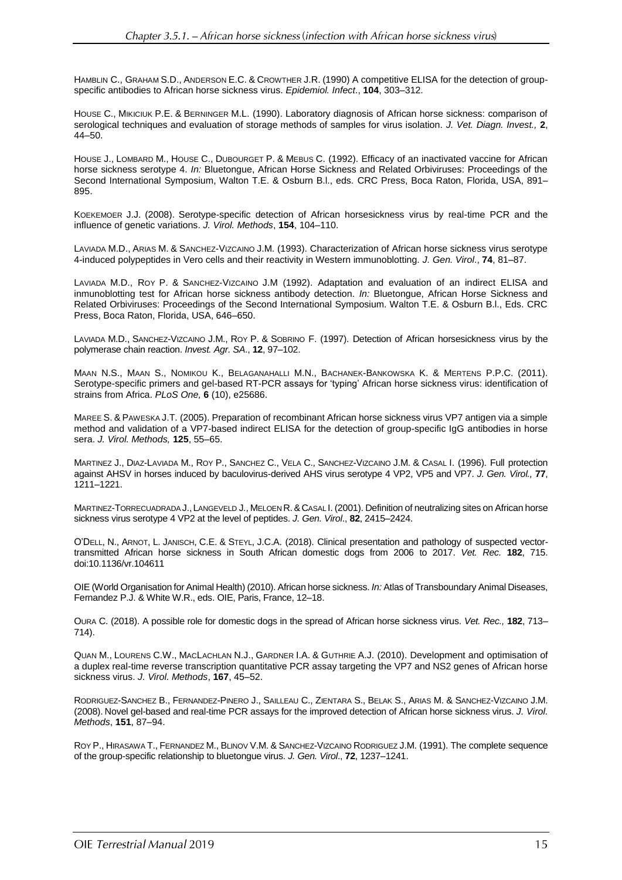HAMBLIN C., GRAHAM S.D., ANDERSON E.C. & CROWTHER J.R. (1990) A competitive ELISA for the detection of groupspecific antibodies to African horse sickness virus. *Epidemiol. Infect*., **104**, 303–312.

HOUSE C., MIKICIUK P.E. & BERNINGER M.L. (1990). Laboratory diagnosis of African horse sickness: comparison of serological techniques and evaluation of storage methods of samples for virus isolation. *J. Vet. Diagn. Invest.,* **2**, 44–50.

HOUSE J., LOMBARD M., HOUSE C., DUBOURGET P. & MEBUS C. (1992). Efficacy of an inactivated vaccine for African horse sickness serotype 4. *In:* Bluetongue, African Horse Sickness and Related Orbiviruses: Proceedings of the Second International Symposium, Walton T.E. & Osburn B.l., eds. CRC Press, Boca Raton, Florida, USA, 891– 895.

KOEKEMOER J.J. (2008). Serotype-specific detection of African horsesickness virus by real-time PCR and the influence of genetic variations. *J. Virol. Methods*, **154**, 104–110.

LAVIADA M.D., ARIAS M. & SANCHEZ-VIZCAINO J.M. (1993). Characterization of African horse sickness virus serotype 4-induced polypeptides in Vero cells and their reactivity in Western immunoblotting. *J. Gen. Virol*., **74**, 81–87.

LAVIADA M.D., ROY P. & SANCHEZ-VIZCAINO J.M (1992). Adaptation and evaluation of an indirect ELISA and inmunoblotting test for African horse sickness antibody detection. *In:* Bluetongue, African Horse Sickness and Related Orbiviruses: Proceedings of the Second International Symposium. Walton T.E. & Osburn B.l., Eds. CRC Press, Boca Raton, Florida, USA, 646–650.

LAVIADA M.D., SANCHEZ-VIZCAINO J.M., ROY P. & SOBRINO F. (1997). Detection of African horsesickness virus by the polymerase chain reaction. *Invest. Agr. SA*., **12**, 97–102.

MAAN N.S., MAAN S., NOMIKOU K., BELAGANAHALLI M.N., BACHANEK-BANKOWSKA K. & MERTENS P.P.C. (2011). Serotype-specific primers and gel-based RT-PCR assays for 'typing' African horse sickness virus: identification of strains from Africa. *PLoS One,* **6** (10), e25686.

MAREE S. & PAWESKA J.T. (2005). Preparation of recombinant African horse sickness virus VP7 antigen via a simple method and validation of a VP7-based indirect ELISA for the detection of group-specific IgG antibodies in horse sera. *J. Virol. Methods,* **125**, 55–65.

MARTINEZ J., DIAZ-LAVIADA M., ROY P., SANCHEZ C., VELA C., SANCHEZ-VIZCAINO J.M. & CASAL I. (1996). Full protection against AHSV in horses induced by baculovirus-derived AHS virus serotype 4 VP2, VP5 and VP7. *J. Gen. Virol.,* **77**, 1211–1221.

MARTINEZ-TORRECUADRADA J.,LANGEVELD J., MELOEN R.& CASAL I. (2001). Definition of neutralizing sites on African horse sickness virus serotype 4 VP2 at the level of peptides. *J. Gen. Virol*., **82**, 2415–2424.

O'DELL, N., ARNOT, L. JANISCH, C.E. & STEYL, J.C.A. (2018). Clinical presentation and pathology of suspected vectortransmitted African horse sickness in South African domestic dogs from 2006 to 2017. *Vet. Rec.* **182**, 715. doi:10.1136/vr.104611

OIE (World Organisation for Animal Health) (2010). African horse sickness. *In:* Atlas of Transboundary Animal Diseases, Fernandez P.J. & White W.R., eds. OIE, Paris, France, 12–18.

OURA C. (2018). A possible role for domestic dogs in the spread of African horse sickness virus. *Vet. Rec.,* **182**, 713– 714).

QUAN M., LOURENS C.W., MACLACHLAN N.J., GARDNER I.A. & GUTHRIE A.J. (2010). Development and optimisation of a duplex real-time reverse transcription quantitative PCR assay targeting the VP7 and NS2 genes of African horse sickness virus. *J. Virol. Methods*, **167**, 45–52.

RODRIGUEZ-SANCHEZ B., FERNANDEZ-PINERO J., SAILLEAU C., ZIENTARA S., BELAK S., ARIAS M. & SANCHEZ-VIZCAINO J.M. (2008). Novel gel-based and real-time PCR assays for the improved detection of African horse sickness virus. *J. Virol. Methods*, **151**, 87–94.

ROY P., HIRASAWA T., FERNANDEZ M., BLINOV V.M. & SANCHEZ-VIZCAINO RODRIGUEZ J.M. (1991). The complete sequence of the group-specific relationship to bluetongue virus. *J. Gen. Virol*., **72**, 1237–1241.